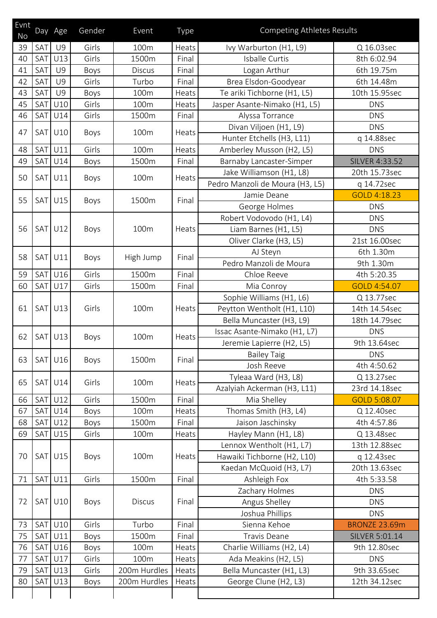| Evnt<br>No |                  | Day Age        | Gender | Event         | Type  | <b>Competing Athletes Results</b> |                       |
|------------|------------------|----------------|--------|---------------|-------|-----------------------------------|-----------------------|
| 39         | SAT              | <b>U9</b>      | Girls  | 100m          | Heats | Ivy Warburton (H1, L9)            | Q 16.03sec            |
| 40         | <b>SAT</b>       | U13            | Girls  | 1500m         | Final | Isballe Curtis                    | 8th 6:02.94           |
| 41         | SAT              | <b>U9</b>      | Boys   | <b>Discus</b> | Final | Logan Arthur                      | 6th 19.75m            |
| 42         | SAT              | <b>U9</b>      | Girls  | Turbo         | Final | Brea Elsdon-Goodyear              | 6th 14.48m            |
| 43         | SAT              | <b>U9</b>      | Boys   | 100m          | Heats | Te ariki Tichborne (H1, L5)       | 10th 15.95sec         |
| 45         | SAT              | U10            | Girls  | 100m          | Heats | Jasper Asante-Nimako (H1, L5)     | <b>DNS</b>            |
| 46         | SAT <sup>I</sup> | U14            | Girls  | 1500m         | Final | Alyssa Torrance                   | <b>DNS</b>            |
| 47         | SAT              | U10            | Boys   | 100m          | Heats | Divan Viljoen (H1, L9)            | <b>DNS</b>            |
|            |                  |                |        |               |       | Hunter Etchells (H3, L11)         | q 14.88sec            |
| 48         | SAT              | U11            | Girls  | 100m          | Heats | Amberley Musson (H2, L5)          | <b>DNS</b>            |
| 49         | SAT              | U14            | Boys   | 1500m         | Final | Barnaby Lancaster-Simper          | <b>SILVER 4:33.52</b> |
| 50         | SAT <sup>I</sup> | U11            | Boys   | 100m          | Heats | Jake Williamson (H1, L8)          | 20th 15.73sec         |
|            |                  |                |        |               |       | Pedro Manzoli de Moura (H3, L5)   | q 14.72sec            |
| 55         | SAT <sup>I</sup> | U15            | Boys   | 1500m         | Final | Jamie Deane                       | GOLD 4:18.23          |
|            |                  |                |        |               |       | George Holmes                     | <b>DNS</b>            |
|            |                  |                | Boys   | 100m          | Heats | Robert Vodovodo (H1, L4)          | <b>DNS</b>            |
| 56         | SAT <sup>I</sup> | U12            |        |               |       | Liam Barnes (H1, L5)              | <b>DNS</b>            |
|            |                  |                |        |               |       | Oliver Clarke (H3, L5)            | 21st 16.00sec         |
| 58         | <b>SAT</b>       | U11            | Boys   | High Jump     | Final | AJ Steyn                          | 6th 1.30m             |
|            |                  |                |        |               |       | Pedro Manzoli de Moura            | 9th 1.30m             |
| 59         | SAT              | U16            | Girls  | 1500m         | Final | Chloe Reeve                       | 4th 5:20.35           |
| 60         | SAT              | U17            | Girls  | 1500m         | Final | Mia Conroy                        | GOLD 4:54.07          |
|            |                  | <b>SAT U13</b> | Girls  | 100m          | Heats | Sophie Williams (H1, L6)          | Q 13.77sec            |
| 61         |                  |                |        |               |       | Peytton Wentholt (H1, L10)        | 14th 14.54sec         |
|            |                  |                |        |               |       | Bella Muncaster (H3, L9)          | 18th 14.79sec         |
| 62         | SAT              | U13            | Boys   | 100m          | Heats | Issac Asante-Nimako (H1, L7)      | <b>DNS</b>            |
|            |                  |                |        |               |       | Jeremie Lapierre (H2, L5)         | 9th 13.64sec          |
| 63         | <b>SAT</b>       | U16            | Boys   | 1500m         | Final | <b>Bailey Taig</b>                | <b>DNS</b>            |
|            |                  |                |        |               |       | Josh Reeve                        | 4th 4:50.62           |
| 65         | <b>SAT</b>       | U14            | Girls  | 100m          | Heats | Tyleaa Ward (H3, L8)              | Q 13.27sec            |
|            |                  |                |        |               |       | Azalyiah Ackerman (H3, L11)       | 23rd 14.18sec         |
| 66         | <b>SAT</b>       | U12            | Girls  | 1500m         | Final | Mia Shelley                       | GOLD 5:08.07          |
| 67         | <b>SAT</b>       | U14            | Boys   | 100m          | Heats | Thomas Smith (H3, L4)             | Q 12.40sec            |
| 68         | SAT              | U12            | Boys   | 1500m         | Final | Jaison Jaschinsky                 | 4th 4:57.86           |
| 69         | SAT              | U15            | Girls  | 100m          | Heats | Hayley Mann (H1, L8)              | Q 13.48sec            |
|            |                  | <b>SAT U15</b> | Boys   | 100m          | Heats | Lennox Wentholt (H1, L7)          | 13th 12.88sec         |
| 70         |                  |                |        |               |       | Hawaiki Tichborne (H2, L10)       | q 12.43sec            |
|            |                  |                |        |               |       | Kaedan McQuoid (H3, L7)           | 20th 13.63sec         |
| 71         | SAT              | U11            | Girls  | 1500m         | Final | Ashleigh Fox                      | 4th 5:33.58           |
|            | SAT <sup>I</sup> | U10            | Boys   | <b>Discus</b> | Final | Zachary Holmes                    | <b>DNS</b>            |
| 72         |                  |                |        |               |       | Angus Shelley                     | <b>DNS</b>            |
|            |                  |                |        |               |       | Joshua Phillips                   | <b>DNS</b>            |
| 73         | SAT              | U10            | Girls  | Turbo         | Final | Sienna Kehoe                      | <b>BRONZE 23.69m</b>  |
| 75         | SAT              | U11            | Boys   | 1500m         | Final | <b>Travis Deane</b>               | SILVER 5:01.14        |
| 76         | SAT              | U16            | Boys   | 100m          | Heats | Charlie Williams (H2, L4)         | 9th 12.80sec          |
| 77         | <b>SAT</b>       | U17            | Girls  | 100m          | Heats | Ada Meakins (H2, L5)              | <b>DNS</b>            |
| 79         | SAT              | U13            | Girls  | 200m Hurdles  | Heats | Bella Muncaster (H1, L3)          | 9th 33.65sec          |
| 80         | SAT              | U13            | Boys   | 200m Hurdles  | Heats | George Clune (H2, L3)             | 12th 34.12sec         |
|            |                  |                |        |               |       |                                   |                       |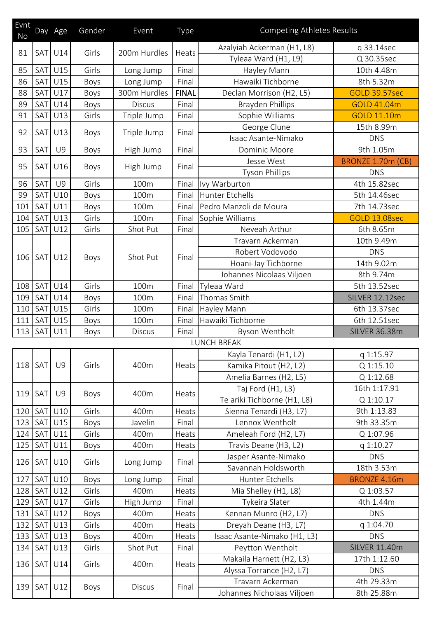| Evnt<br><b>No</b> |            | Day Age        | Gender | Event         | Type         | <b>Competing Athletes Results</b> |                      |
|-------------------|------------|----------------|--------|---------------|--------------|-----------------------------------|----------------------|
|                   |            |                |        |               |              | Azalyiah Ackerman (H1, L8)        | q 33.14sec           |
| 81                | <b>SAT</b> | U14            | Girls  | 200m Hurdles  | Heats        | Tyleaa Ward (H1, L9)              | Q 30.35sec           |
| 85                | SAT        | U15            | Girls  | Long Jump     | Final        | Hayley Mann                       | 10th 4.48m           |
| 86                | SAT        | U15            | Boys   | Long Jump     | Final        | Hawaiki Tichborne                 | 8th 5.32m            |
| 88                | SAT        | U17            | Boys   | 300m Hurdles  | <b>FINAL</b> | Declan Morrison (H2, L5)          | <b>GOLD 39.57sec</b> |
| 89                | SAT        | U14            | Boys   | <b>Discus</b> | Final        | <b>Brayden Phillips</b>           | GOLD 41.04m          |
| 91                | <b>SAT</b> | U13            | Girls  | Triple Jump   | Final        | Sophie Williams                   | GOLD 11.10m          |
| 92                | <b>SAT</b> | U13            | Boys   | Triple Jump   | Final        | George Clune                      | 15th 8.99m           |
|                   |            |                |        |               |              | Isaac Asante-Nimako               | <b>DNS</b>           |
| 93                | SAT        | <b>U9</b>      | Boys   | High Jump     | Final        | Dominic Moore                     | 9th 1.05m            |
| 95                |            |                | Boys   | High Jump     | Final        | Jesse West                        | BRONZE 1.70m (CB)    |
|                   | <b>SAT</b> | U16            |        |               |              | <b>Tyson Phillips</b>             | <b>DNS</b>           |
| 96                | SAT        | <b>U9</b>      | Girls  | 100m          | Final        | Ivy Warburton                     | 4th 15.82sec         |
| 99                | SAT        | U10            | Boys   | 100m          | Final        | Hunter Etchells                   | 5th 14.46sec         |
| 101               | SAT        | U11            | Boys   | 100m          | Final        | Pedro Manzoli de Moura            | 7th 14.73sec         |
| 104               | SAT        | U13            | Girls  | 100m          | Final        | Sophie Williams                   | <b>GOLD 13.08sec</b> |
| 105               | SAT        | U12            | Girls  | Shot Put      | Final        | Neveah Arthur                     | 6th 8.65m            |
|                   |            |                | Boys   | Shot Put      | Final        | Travarn Ackerman                  | 10th 9.49m           |
|                   |            | U12            |        |               |              | Robert Vodovodo                   | <b>DNS</b>           |
| 106               | SAT        |                |        |               |              | Hoani-Jay Tichborne               | 14th 9.02m           |
|                   |            |                |        |               |              | Johannes Nicolaas Viljoen         | 8th 9.74m            |
| 108               | SAT        | U14            | Girls  | 100m          | Final        | Tyleaa Ward                       | 5th 13.52sec         |
| 109               | SAT        | U14            | Boys   | 100m          | Final        | Thomas Smith                      | SILVER 12.12sec      |
| 110               | SAT        | U15            | Girls  | 100m          | Final        | Hayley Mann                       | 6th 13.37sec         |
| 111               | SAT        | U15            | Boys   | 100m          | Final        | Hawaiki Tichborne                 | 6th 12.51sec         |
| 113               | SAT        | U11            | Boys   | <b>Discus</b> | Final        | Byson Wentholt                    | <b>SILVER 36.38m</b> |
|                   |            |                |        |               |              | <b>LUNCH BREAK</b>                |                      |
|                   | SAT        | <b>U9</b>      | Girls  | 400m          | Heats        | Kayla Tenardi (H1, L2)            | q 1:15.97            |
| 118               |            |                |        |               |              | Kamika Pitout (H2, L2)            | Q 1:15.10            |
|                   |            |                |        |               |              | Amelia Barnes (H2, L5)            | Q 1:12.68            |
| 119               | SAT        | U9             | Boys   | 400m          | Heats        | Taj Ford (H1, L3)                 | 16th 1:17.91         |
|                   |            |                |        |               |              | Te ariki Tichborne (H1, L8)       | Q 1:10.17            |
| 120               | SAT        | U10            | Girls  | 400m          | Heats        | Sienna Tenardi (H3, L7)           | 9th 1:13.83          |
| 123               | SAT        | U15            | Boys   | Javelin       | Final        | Lennox Wentholt                   | 9th 33.35m           |
| 124               | <b>SAT</b> | U11            | Girls  | 400m          | Heats        | Ameleah Ford (H2, L7)             | Q 1:07.96            |
| 125               | <b>SAT</b> | U11            | Boys   | 400m          | Heats        | Travis Deane (H3, L2)             | q 1:10.27            |
| 126               | SAT        | U10            | Girls  | Long Jump     | Final        | Jasper Asante-Nimako              | <b>DNS</b>           |
|                   |            |                |        |               |              | Savannah Holdsworth               | 18th 3.53m           |
| 127               | <b>SAT</b> | U10            | Boys   | Long Jump     | Final        | Hunter Etchells                   | <b>BRONZE 4.16m</b>  |
| 128               | <b>SAT</b> | U12            | Girls  | 400m          | Heats        | Mia Shelley (H1, L8)              | Q 1:03.57            |
| 129               | SAT        | U17            | Girls  | High Jump     | Final        | Tykeira Slater                    | 4th 1.44m            |
| 131               | <b>SAT</b> | U12            | Boys   | 400m          | Heats        | Kennan Munro (H2, L7)             | <b>DNS</b>           |
| 132               | <b>SAT</b> | U13            | Girls  | 400m          | Heats        | Dreyah Deane (H3, L7)             | q 1:04.70            |
| 133               | <b>SAT</b> | U13            | Boys   | 400m          | Heats        | Isaac Asante-Nimako (H1, L3)      | <b>DNS</b>           |
| 134               | SAT        | U13            | Girls  | Shot Put      | Final        | Peytton Wentholt                  | <b>SILVER 11.40m</b> |
|                   |            | U14            | Girls  | 400m          | Heats        | Makaila Harnett (H2, L3)          | 17th 1:12.60         |
| 136               | SAT        |                |        |               |              | Alyssa Torrance (H2, L7)          | <b>DNS</b>           |
|                   |            | <b>SAT U12</b> | Boys   | <b>Discus</b> | Final        | Travarn Ackerman                  | 4th 29.33m           |
| 139               |            |                |        |               |              | Johannes Nicholaas Viljoen        | 8th 25.88m           |